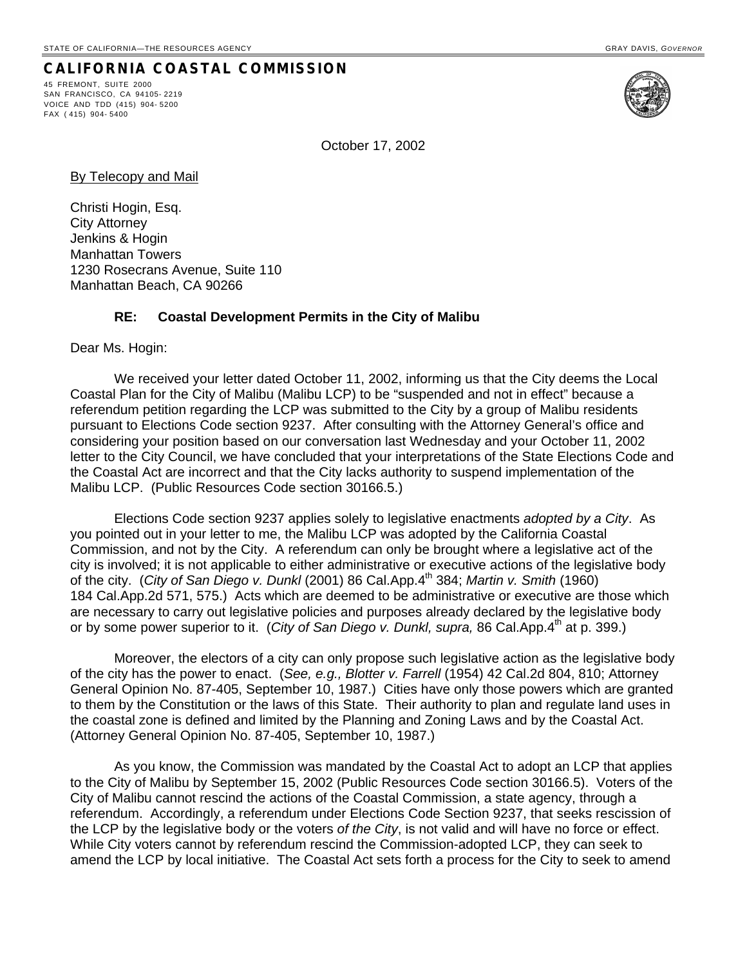## **CALIFORNIA COASTAL COMMISSION**

45 FREMONT, SUITE 2000 SAN FRANCISCO, CA 94105- 2219 VOICE AND TDD (415) 904- 5200 FAX ( 415) 904- 5400



October 17, 2002

By Telecopy and Mail

Christi Hogin, Esq. City Attorney Jenkins & Hogin Manhattan Towers 1230 Rosecrans Avenue, Suite 110 Manhattan Beach, CA 90266

## **RE: Coastal Development Permits in the City of Malibu**

Dear Ms. Hogin:

We received your letter dated October 11, 2002, informing us that the City deems the Local Coastal Plan for the City of Malibu (Malibu LCP) to be "suspended and not in effect" because a referendum petition regarding the LCP was submitted to the City by a group of Malibu residents pursuant to Elections Code section 9237. After consulting with the Attorney General's office and considering your position based on our conversation last Wednesday and your October 11, 2002 letter to the City Council, we have concluded that your interpretations of the State Elections Code and the Coastal Act are incorrect and that the City lacks authority to suspend implementation of the Malibu LCP. (Public Resources Code section 30166.5.)

Elections Code section 9237 applies solely to legislative enactments *adopted by a City*. As you pointed out in your letter to me, the Malibu LCP was adopted by the California Coastal Commission, and not by the City. A referendum can only be brought where a legislative act of the city is involved; it is not applicable to either administrative or executive actions of the legislative body of the city. (*City of San Diego v. Dunkl* (2001) 86 Cal.App.4th 384; *Martin v. Smith* (1960) 184 Cal.App.2d 571, 575.) Acts which are deemed to be administrative or executive are those which are necessary to carry out legislative policies and purposes already declared by the legislative body or by some power superior to it. (*City of San Diego v. Dunkl, supra,* 86 Cal.App.4<sup>th</sup> at p. 399.)

Moreover, the electors of a city can only propose such legislative action as the legislative body of the city has the power to enact. (*See, e.g., Blotter v. Farrell* (1954) 42 Cal.2d 804, 810; Attorney General Opinion No. 87-405, September 10, 1987.) Cities have only those powers which are granted to them by the Constitution or the laws of this State. Their authority to plan and regulate land uses in the coastal zone is defined and limited by the Planning and Zoning Laws and by the Coastal Act. (Attorney General Opinion No. 87-405, September 10, 1987.)

As you know, the Commission was mandated by the Coastal Act to adopt an LCP that applies to the City of Malibu by September 15, 2002 (Public Resources Code section 30166.5). Voters of the City of Malibu cannot rescind the actions of the Coastal Commission, a state agency, through a referendum. Accordingly, a referendum under Elections Code Section 9237, that seeks rescission of the LCP by the legislative body or the voters *of the City*, is not valid and will have no force or effect. While City voters cannot by referendum rescind the Commission-adopted LCP, they can seek to amend the LCP by local initiative. The Coastal Act sets forth a process for the City to seek to amend